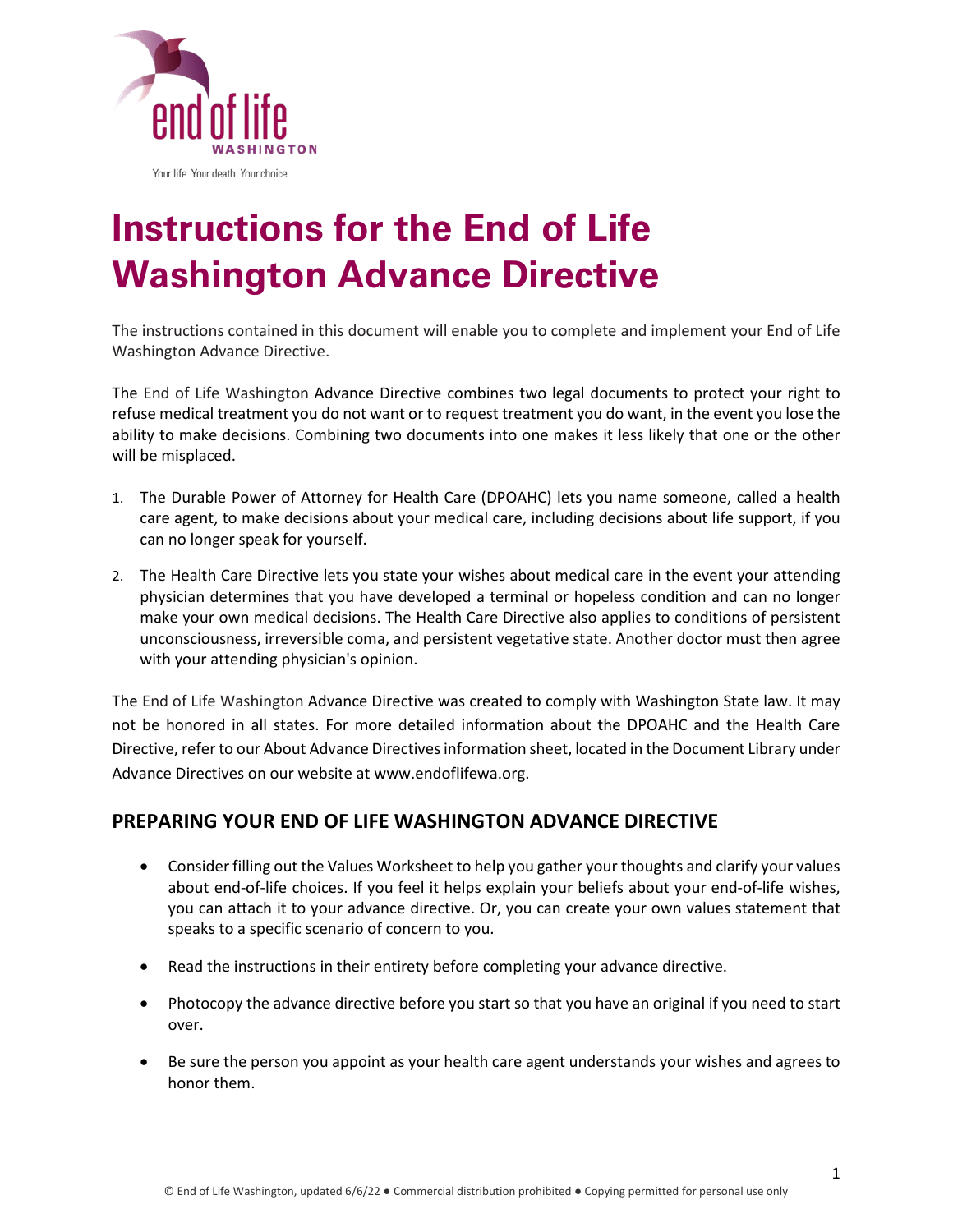

# **Instructions for the End of Life Washington Advance Directive**

The instructions contained in this document will enable you to complete and implement your End of Life Washington Advance Directive.

The End of Life Washington Advance Directive combines two legal documents to protect your right to refuse medical treatment you do not want or to request treatment you do want, in the event you lose the ability to make decisions. Combining two documents into one makes it less likely that one or the other will be misplaced.

- 1. The Durable Power of Attorney for Health Care (DPOAHC) lets you name someone, called a health care agent, to make decisions about your medical care, including decisions about life support, if you can no longer speak for yourself.
- 2. The Health Care Directive lets you state your wishes about medical care in the event your attending physician determines that you have developed a terminal or hopeless condition and can no longer make your own medical decisions. The Health Care Directive also applies to conditions of persistent unconsciousness, irreversible coma, and persistent vegetative state. Another doctor must then agree with your attending physician's opinion.

The End of Life Washington Advance Directive was created to comply with Washington State law. It may not be honored in all states. For more detailed information about the DPOAHC and the Health Care Directive, refer to our About Advance Directives information sheet, located in the Document Library under Advance Directives on our website at [www.endoflifewa.org.](http://www.endoflifewa.org/)

#### **PREPARING YOUR END OF LIFE WASHINGTON ADVANCE DIRECTIVE**

- Consider filling out the Values Worksheet to help you gather your thoughts and clarify your values about end-of-life choices. If you feel it helps explain your beliefs about your end-of-life wishes, you can attach it to your advance directive. Or, you can create your own values statement that speaks to a specific scenario of concern to you.
- Read the instructions in their entirety before completing your advance directive.
- Photocopy the advance directive before you start so that you have an original if you need to start over.
- Be sure the person you appoint as your health care agent understands your wishes and agrees to honor them.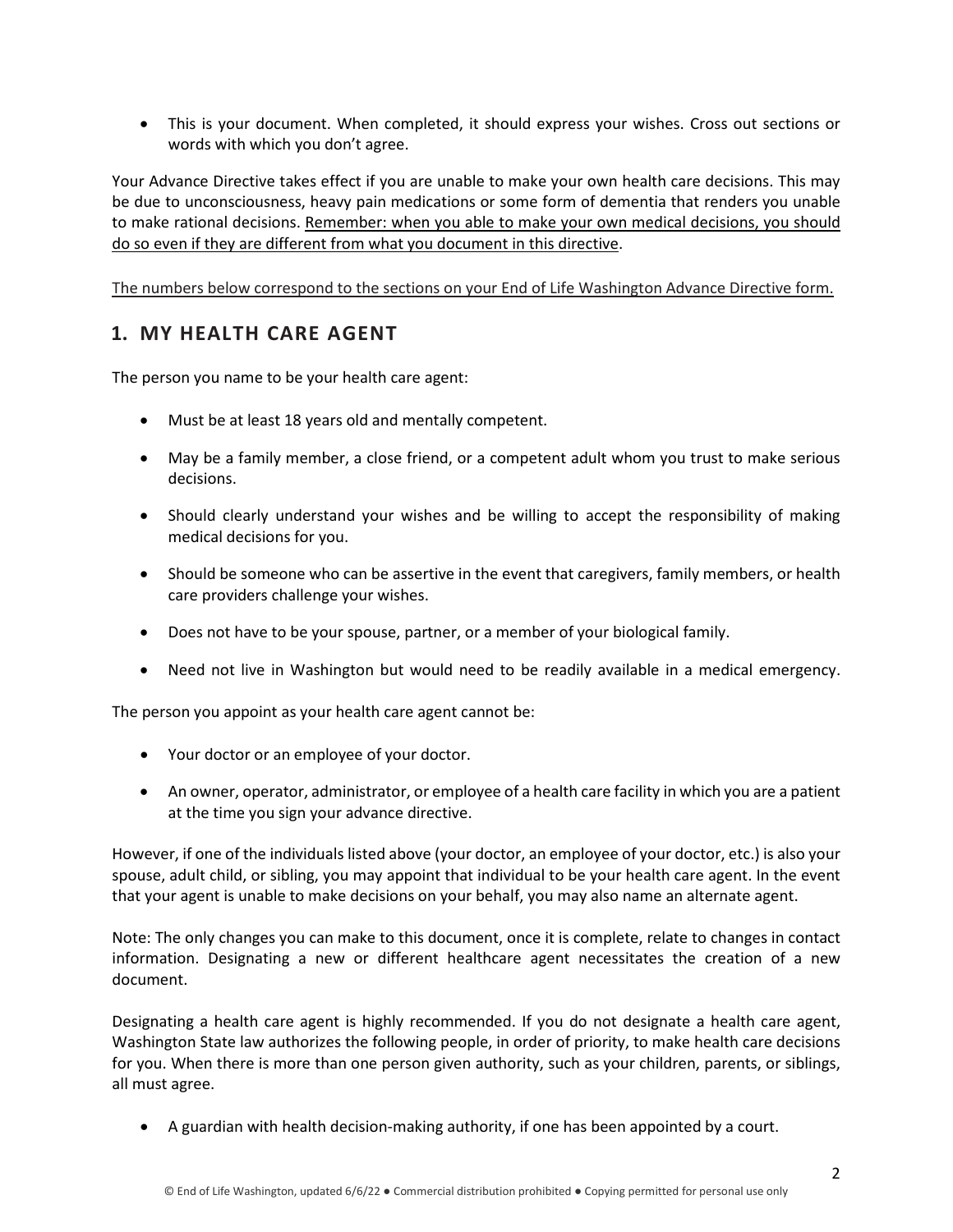• This is your document. When completed, it should express your wishes. Cross out sections or words with which you don't agree.

Your Advance Directive takes effect if you are unable to make your own health care decisions. This may be due to unconsciousness, heavy pain medications or some form of dementia that renders you unable to make rational decisions. Remember: when you able to make your own medical decisions, you should do so even if they are different from what you document in this directive.

The numbers below correspond to the sections on your End of Life Washington Advance Directive form.

#### **1. MY HEALTH CARE AGENT**

The person you name to be your health care agent:

- Must be at least 18 years old and mentally competent.
- May be a family member, a close friend, or a competent adult whom you trust to make serious decisions.
- Should clearly understand your wishes and be willing to accept the responsibility of making medical decisions for you.
- Should be someone who can be assertive in the event that caregivers, family members, or health care providers challenge your wishes.
- Does not have to be your spouse, partner, or a member of your biological family.
- Need not live in Washington but would need to be readily available in a medical emergency.

The person you appoint as your health care agent cannot be:

- Your doctor or an employee of your doctor.
- An owner, operator, administrator, or employee of a health care facility in which you are a patient at the time you sign your advance directive.

However, if one of the individuals listed above (your doctor, an employee of your doctor, etc.) is also your spouse, adult child, or sibling, you may appoint that individual to be your health care agent. In the event that your agent is unable to make decisions on your behalf, you may also name an alternate agent.

Note: The only changes you can make to this document, once it is complete, relate to changes in contact information. Designating a new or different healthcare agent necessitates the creation of a new document.

Designating a health care agent is highly recommended. If you do not designate a health care agent, Washington State law authorizes the following people, in order of priority, to make health care decisions for you. When there is more than one person given authority, such as your children, parents, or siblings, all must agree.

• A guardian with health decision-making authority, if one has been appointed by a court.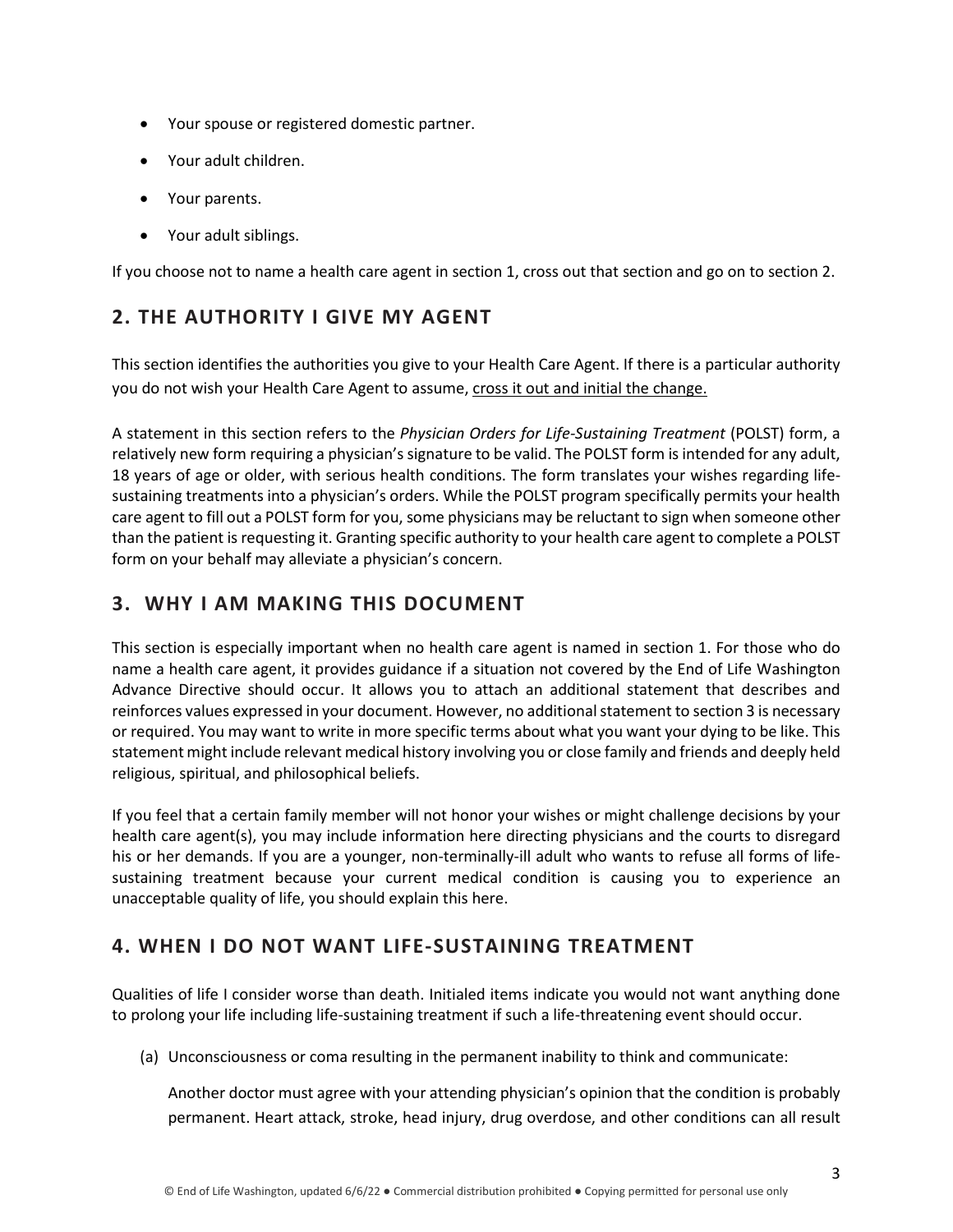- Your spouse or registered domestic partner.
- Your adult children.
- Your parents.
- Your adult siblings.

If you choose not to name a health care agent in section 1, cross out that section and go on to section 2.

## **2. THE AUTHORITY I GIVE MY AGENT**

This section identifies the authorities you give to your Health Care Agent. If there is a particular authority you do not wish your Health Care Agent to assume, cross it out and initial the change.

A statement in this section refers to the *Physician Orders for Life-Sustaining Treatment* (POLST) form, a relatively new form requiring a physician's signature to be valid. The POLST form is intended for any adult, 18 years of age or older, with serious health conditions. The form translates your wishes regarding lifesustaining treatments into a physician's orders. While the POLST program specifically permits your health care agent to fill out a POLST form for you, some physicians may be reluctant to sign when someone other than the patient is requesting it. Granting specific authority to your health care agent to complete a POLST form on your behalf may alleviate a physician's concern.

#### **3. WHY I AM MAKING THIS DOCUMENT**

This section is especially important when no health care agent is named in section 1. For those who do name a health care agent, it provides guidance if a situation not covered by the End of Life Washington Advance Directive should occur. It allows you to attach an additional statement that describes and reinforces values expressed in your document. However, no additional statement to section 3 is necessary or required. You may want to write in more specific terms about what you want your dying to be like. This statement might include relevant medical history involving you or close family and friends and deeply held religious, spiritual, and philosophical beliefs.

If you feel that a certain family member will not honor your wishes or might challenge decisions by your health care agent(s), you may include information here directing physicians and the courts to disregard his or her demands. If you are a younger, non-terminally-ill adult who wants to refuse all forms of lifesustaining treatment because your current medical condition is causing you to experience an unacceptable quality of life, you should explain this here.

#### **4. WHEN I DO NOT WANT LIFE-SUSTAINING TREATMENT**

Qualities of life I consider worse than death. Initialed items indicate you would not want anything done to prolong your life including life-sustaining treatment if such a life-threatening event should occur.

(a) Unconsciousness or coma resulting in the permanent inability to think and communicate:

Another doctor must agree with your attending physician's opinion that the condition is probably permanent. Heart attack, stroke, head injury, drug overdose, and other conditions can all result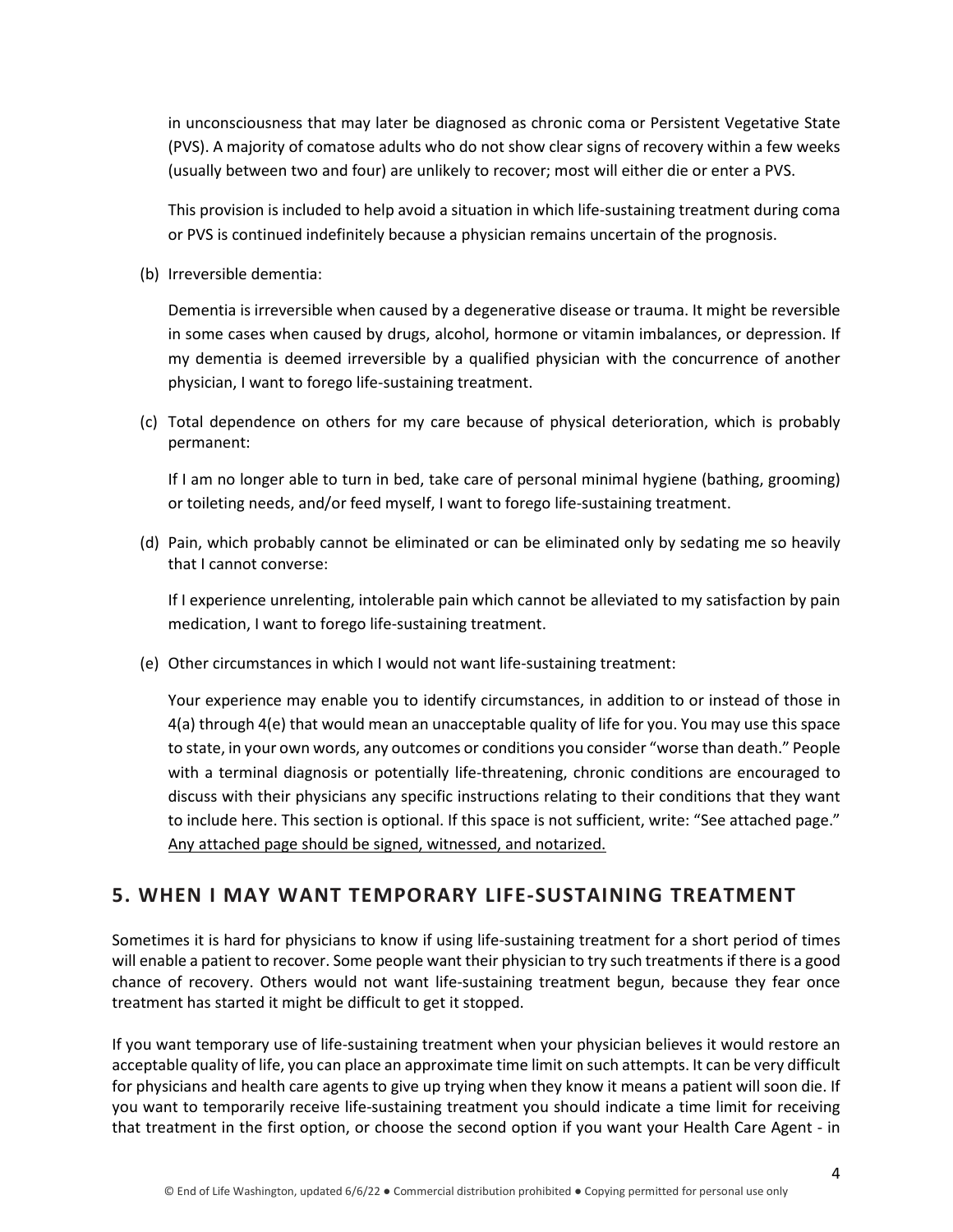in unconsciousness that may later be diagnosed as chronic coma or Persistent Vegetative State (PVS). A majority of comatose adults who do not show clear signs of recovery within a few weeks (usually between two and four) are unlikely to recover; most will either die or enter a PVS.

This provision is included to help avoid a situation in which life-sustaining treatment during coma or PVS is continued indefinitely because a physician remains uncertain of the prognosis.

(b) Irreversible dementia:

Dementia is irreversible when caused by a degenerative disease or trauma. It might be reversible in some cases when caused by drugs, alcohol, hormone or vitamin imbalances, or depression. If my dementia is deemed irreversible by a qualified physician with the concurrence of another physician, I want to forego life-sustaining treatment.

(c) Total dependence on others for my care because of physical deterioration, which is probably permanent:

If I am no longer able to turn in bed, take care of personal minimal hygiene (bathing, grooming) or toileting needs, and/or feed myself, I want to forego life-sustaining treatment.

(d) Pain, which probably cannot be eliminated or can be eliminated only by sedating me so heavily that I cannot converse:

If I experience unrelenting, intolerable pain which cannot be alleviated to my satisfaction by pain medication, I want to forego life-sustaining treatment.

(e) Other circumstances in which I would not want life-sustaining treatment:

Your experience may enable you to identify circumstances, in addition to or instead of those in 4(a) through 4(e) that would mean an unacceptable quality of life for you. You may use this space to state, in your own words, any outcomes or conditions you consider "worse than death." People with a terminal diagnosis or potentially life-threatening, chronic conditions are encouraged to discuss with their physicians any specific instructions relating to their conditions that they want to include here. This section is optional. If this space is not sufficient, write: "See attached page." Any attached page should be signed, witnessed, and notarized.

#### **5. WHEN I MAY WANT TEMPORARY LIFE-SUSTAINING TREATMENT**

Sometimes it is hard for physicians to know if using life-sustaining treatment for a short period of times will enable a patient to recover. Some people want their physician to try such treatments if there is a good chance of recovery. Others would not want life-sustaining treatment begun, because they fear once treatment has started it might be difficult to get it stopped.

If you want temporary use of life-sustaining treatment when your physician believes it would restore an acceptable quality of life, you can place an approximate time limit on such attempts. It can be very difficult for physicians and health care agents to give up trying when they know it means a patient will soon die. If you want to temporarily receive life-sustaining treatment you should indicate a time limit for receiving that treatment in the first option, or choose the second option if you want your Health Care Agent - in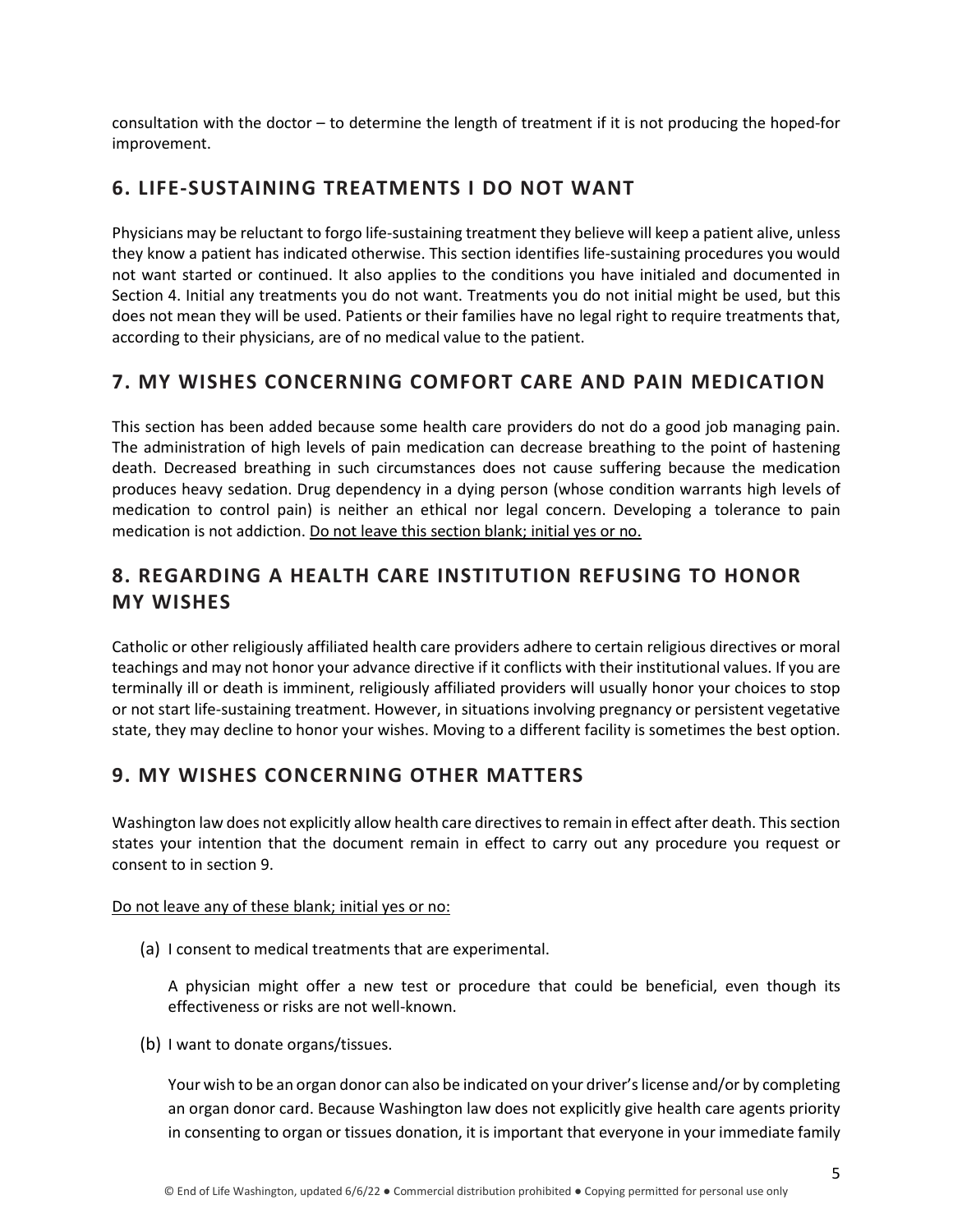consultation with the doctor – to determine the length of treatment if it is not producing the hoped-for improvement.

#### **6. LIFE-SUSTAINING TREATMENTS I DO NOT WANT**

Physicians may be reluctant to forgo life-sustaining treatment they believe will keep a patient alive, unless they know a patient has indicated otherwise. This section identifies life-sustaining procedures you would not want started or continued. It also applies to the conditions you have initialed and documented in Section 4. Initial any treatments you do not want. Treatments you do not initial might be used, but this does not mean they will be used. Patients or their families have no legal right to require treatments that, according to their physicians, are of no medical value to the patient.

## **7. MY WISHES CONCERNING COMFORT CARE AND PAIN MEDICATION**

This section has been added because some health care providers do not do a good job managing pain. The administration of high levels of pain medication can decrease breathing to the point of hastening death. Decreased breathing in such circumstances does not cause suffering because the medication produces heavy sedation. Drug dependency in a dying person (whose condition warrants high levels of medication to control pain) is neither an ethical nor legal concern. Developing a tolerance to pain medication is not addiction. Do not leave this section blank; initial yes or no.

## **8. REGARDING A HEALTH CARE INSTITUTION REFUSING TO HONOR MY WISHES**

Catholic or other religiously affiliated health care providers adhere to certain religious directives or moral teachings and may not honor your advance directive if it conflicts with their institutional values. If you are terminally ill or death is imminent, religiously affiliated providers will usually honor your choices to stop or not start life-sustaining treatment. However, in situations involving pregnancy or persistent vegetative state, they may decline to honor your wishes. Moving to a different facility is sometimes the best option.

#### **9. MY WISHES CONCERNING OTHER MATTERS**

Washington law does not explicitly allow health care directives to remain in effect after death. This section states your intention that the document remain in effect to carry out any procedure you request or consent to in section 9.

#### Do not leave any of these blank; initial yes or no:

(a) I consent to medical treatments that are experimental.

A physician might offer a new test or procedure that could be beneficial, even though its effectiveness or risks are not well-known.

(b) I want to donate organs/tissues.

Your wish to be an organ donor can also be indicated on your driver's license and/or by completing an organ donor card. Because Washington law does not explicitly give health care agents priority in consenting to organ or tissues donation, it is important that everyone in your immediate family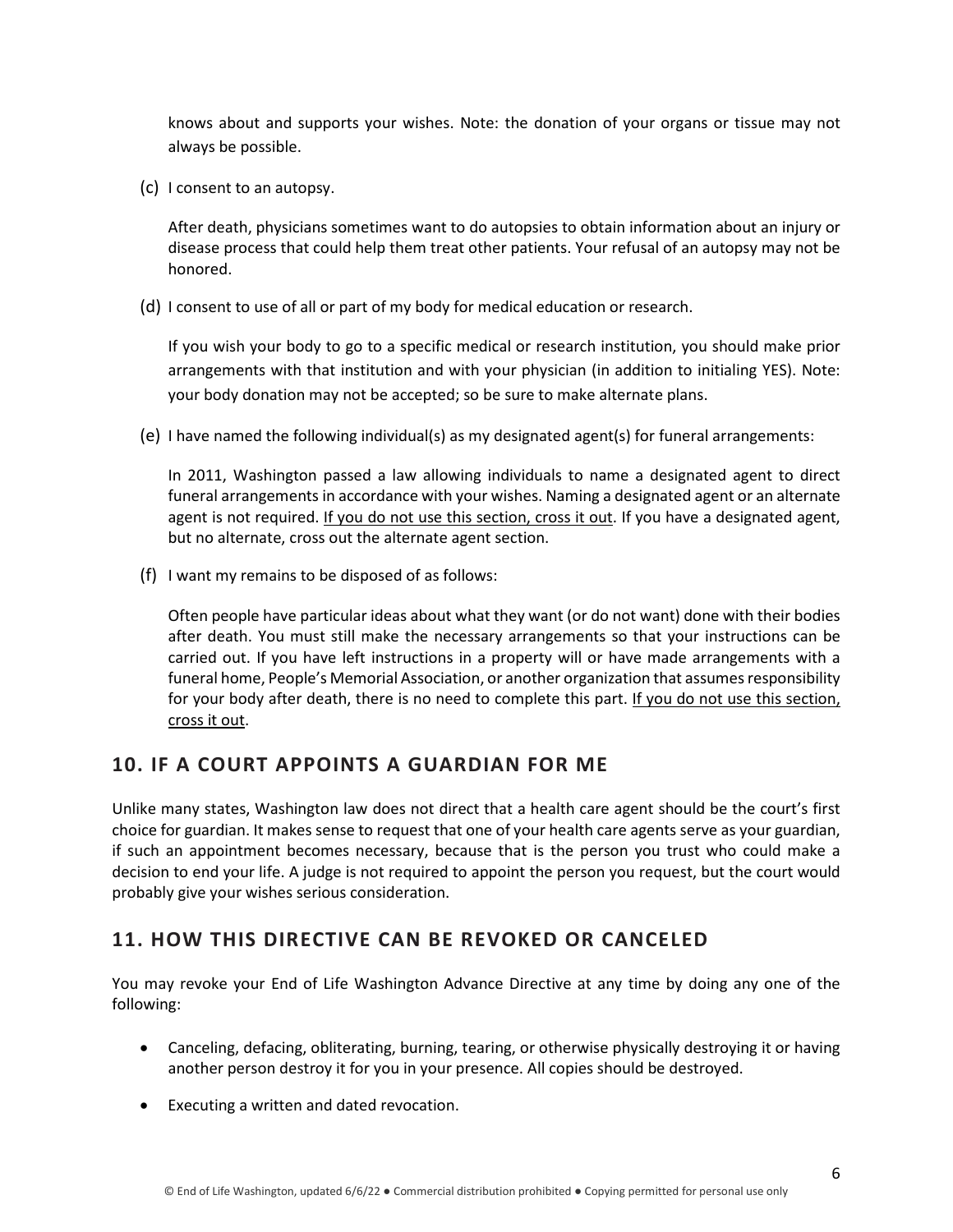knows about and supports your wishes. Note: the donation of your organs or tissue may not always be possible.

(c) I consent to an autopsy.

After death, physicians sometimes want to do autopsies to obtain information about an injury or disease process that could help them treat other patients. Your refusal of an autopsy may not be honored.

(d) I consent to use of all or part of my body for medical education or research.

If you wish your body to go to a specific medical or research institution, you should make prior arrangements with that institution and with your physician (in addition to initialing YES). Note: your body donation may not be accepted; so be sure to make alternate plans.

(e) I have named the following individual(s) as my designated agent(s) for funeral arrangements:

In 2011, Washington passed a law allowing individuals to name a designated agent to direct funeral arrangements in accordance with your wishes. Naming a designated agent or an alternate agent is not required. If you do not use this section, cross it out. If you have a designated agent, but no alternate, cross out the alternate agent section.

(f) I want my remains to be disposed of as follows:

Often people have particular ideas about what they want (or do not want) done with their bodies after death. You must still make the necessary arrangements so that your instructions can be carried out. If you have left instructions in a property will or have made arrangements with a funeral home, People's Memorial Association, or another organization that assumes responsibility for your body after death, there is no need to complete this part. If you do not use this section, cross it out.

#### **10. IF A COURT APPOINTS A GUARDIAN FOR ME**

Unlike many states, Washington law does not direct that a health care agent should be the court's first choice for guardian. It makes sense to request that one of your health care agents serve as your guardian, if such an appointment becomes necessary, because that is the person you trust who could make a decision to end your life. A judge is not required to appoint the person you request, but the court would probably give your wishes serious consideration.

## **11. HOW THIS DIRECTIVE CAN BE REVOKED OR CANCELED**

You may revoke your End of Life Washington Advance Directive at any time by doing any one of the following:

- Canceling, defacing, obliterating, burning, tearing, or otherwise physically destroying it or having another person destroy it for you in your presence. All copies should be destroyed.
- Executing a written and dated revocation.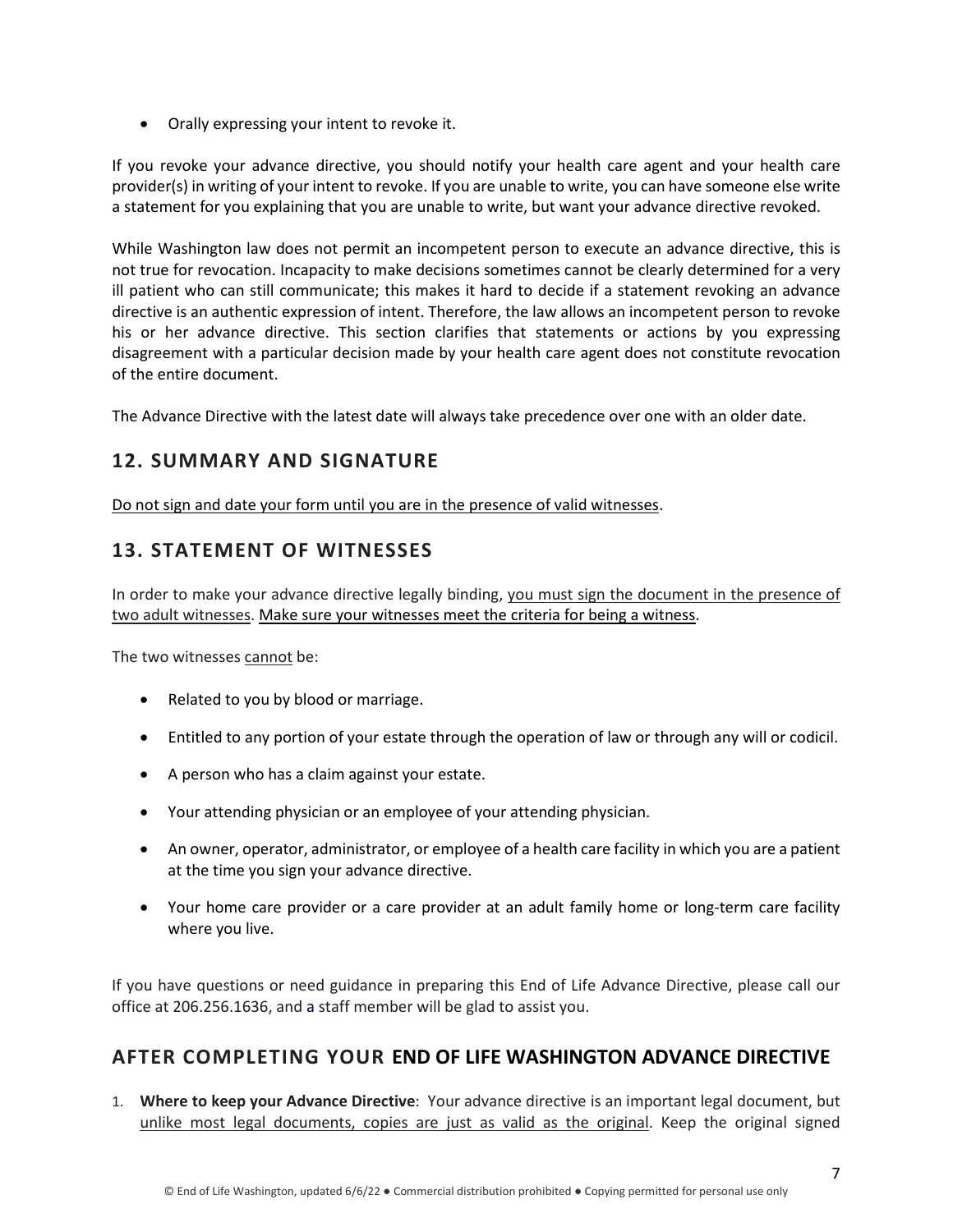• Orally expressing your intent to revoke it.

If you revoke your advance directive, you should notify your health care agent and your health care provider(s) in writing of your intent to revoke. If you are unable to write, you can have someone else write a statement for you explaining that you are unable to write, but want your advance directive revoked.

While Washington law does not permit an incompetent person to execute an advance directive, this is not true for revocation. Incapacity to make decisions sometimes cannot be clearly determined for a very ill patient who can still communicate; this makes it hard to decide if a statement revoking an advance directive is an authentic expression of intent. Therefore, the law allows an incompetent person to revoke his or her advance directive. This section clarifies that statements or actions by you expressing disagreement with a particular decision made by your health care agent does not constitute revocation of the entire document.

The Advance Directive with the latest date will always take precedence over one with an older date.

#### **12. SUMMARY AND SIGNATURE**

Do not sign and date your form until you are in the presence of valid witnesses.

## **13. STATEMENT OF WITNESSES**

In order to make your advance directive legally binding, you must sign the document in the presence of two adult witnesses. Make sure your witnesses meet the criteria for being a witness.

The two witnesses cannot be:

- Related to you by blood or marriage.
- Entitled to any portion of your estate through the operation of law or through any will or codicil.
- A person who has a claim against your estate.
- Your attending physician or an employee of your attending physician.
- An owner, operator, administrator, or employee of a health care facility in which you are a patient at the time you sign your advance directive.
- Your home care provider or a care provider at an adult family home or long-term care facility where you live.

If you have questions or need guidance in preparing this End of Life Advance Directive, please call our office at 206.256.1636, and a staff member will be glad to assist you.

#### **AFTER COMPLETING YOUR END OF LIFE WASHINGTON ADVANCE DIRECTIVE**

1. **Where to keep your Advance Directive**: Your advance directive is an important legal document, but unlike most legal documents, copies are just as valid as the original. Keep the original signed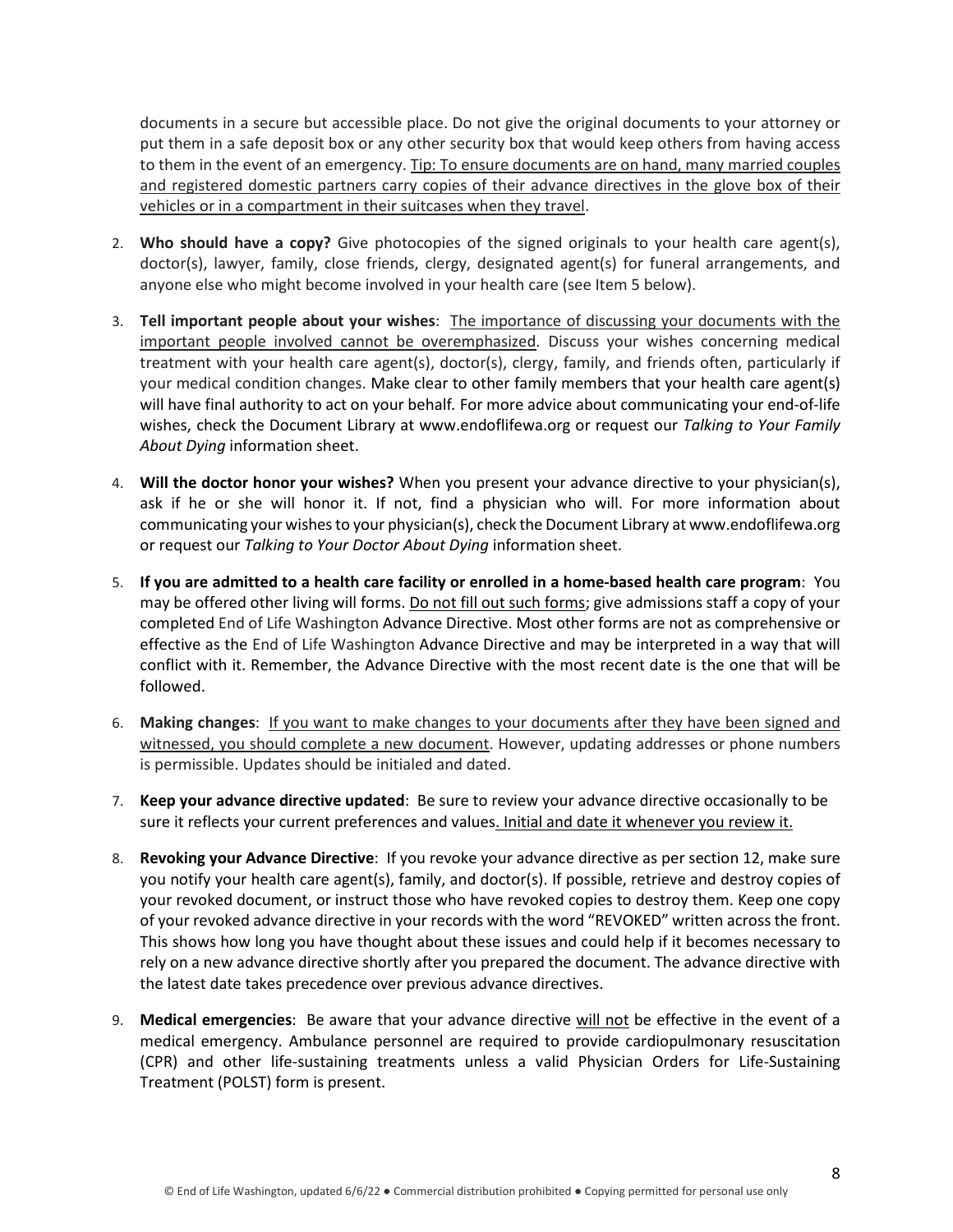documents in a secure but accessible place. Do not give the original documents to your attorney or put them in a safe deposit box or any other security box that would keep others from having access to them in the event of an emergency. Tip: To ensure documents are on hand, many married couples and registered domestic partners carry copies of their advance directives in the glove box of their vehicles or in a compartment in their suitcases when they travel.

- 2. **Who should have a copy?** Give photocopies of the signed originals to your health care agent(s), doctor(s), lawyer, family, close friends, clergy, designated agent(s) for funeral arrangements, and anyone else who might become involved in your health care (see Item 5 below).
- 3. **Tell important people about your wishes**: The importance of discussing your documents with the important people involved cannot be overemphasized. Discuss your wishes concerning medical treatment with your health care agent(s), doctor(s), clergy, family, and friends often, particularly if your medical condition changes. Make clear to other family members that your health care agent(s) will have final authority to act on your behalf*.* For more advice about communicating your end-of-life wishes, check the Document Library at www.endoflifewa.org or request our *Talking to Your Family About Dying* information sheet.
- 4. **Will the doctor honor your wishes?** When you present your advance directive to your physician(s), ask if he or she will honor it. If not, find a physician who will. For more information about communicating your wishes to your physician(s), check the Document Library at www.endoflifewa.org or request our *Talking to Your Doctor About Dying* information sheet.
- 5. **If you are admitted to a health care facility or enrolled in a home-based health care program**: You may be offered other living will forms. Do not fill out such forms; give admissions staff a copy of your completed End of Life Washington Advance Directive. Most other forms are not as comprehensive or effective as the End of Life Washington Advance Directive and may be interpreted in a way that will conflict with it. Remember, the Advance Directive with the most recent date is the one that will be followed.
- 6. **Making changes**: If you want to make changes to your documents after they have been signed and witnessed, you should complete a new document. However, updating addresses or phone numbers is permissible. Updates should be initialed and dated.
- 7. **Keep your advance directive updated**: Be sure to review your advance directive occasionally to be sure it reflects your current preferences and values. Initial and date it whenever you review it.
- 8. **Revoking your Advance Directive**: If you revoke your advance directive as per section 12, make sure you notify your health care agent(s), family, and doctor(s). If possible, retrieve and destroy copies of your revoked document, or instruct those who have revoked copies to destroy them. Keep one copy of your revoked advance directive in your records with the word "REVOKED" written across the front. This shows how long you have thought about these issues and could help if it becomes necessary to rely on a new advance directive shortly after you prepared the document. The advance directive with the latest date takes precedence over previous advance directives.
- 9. **Medical emergencies**: Be aware that your advance directive will not be effective in the event of a medical emergency. Ambulance personnel are required to provide cardiopulmonary resuscitation (CPR) and other life-sustaining treatments unless a valid Physician Orders for Life-Sustaining Treatment (POLST) form is present.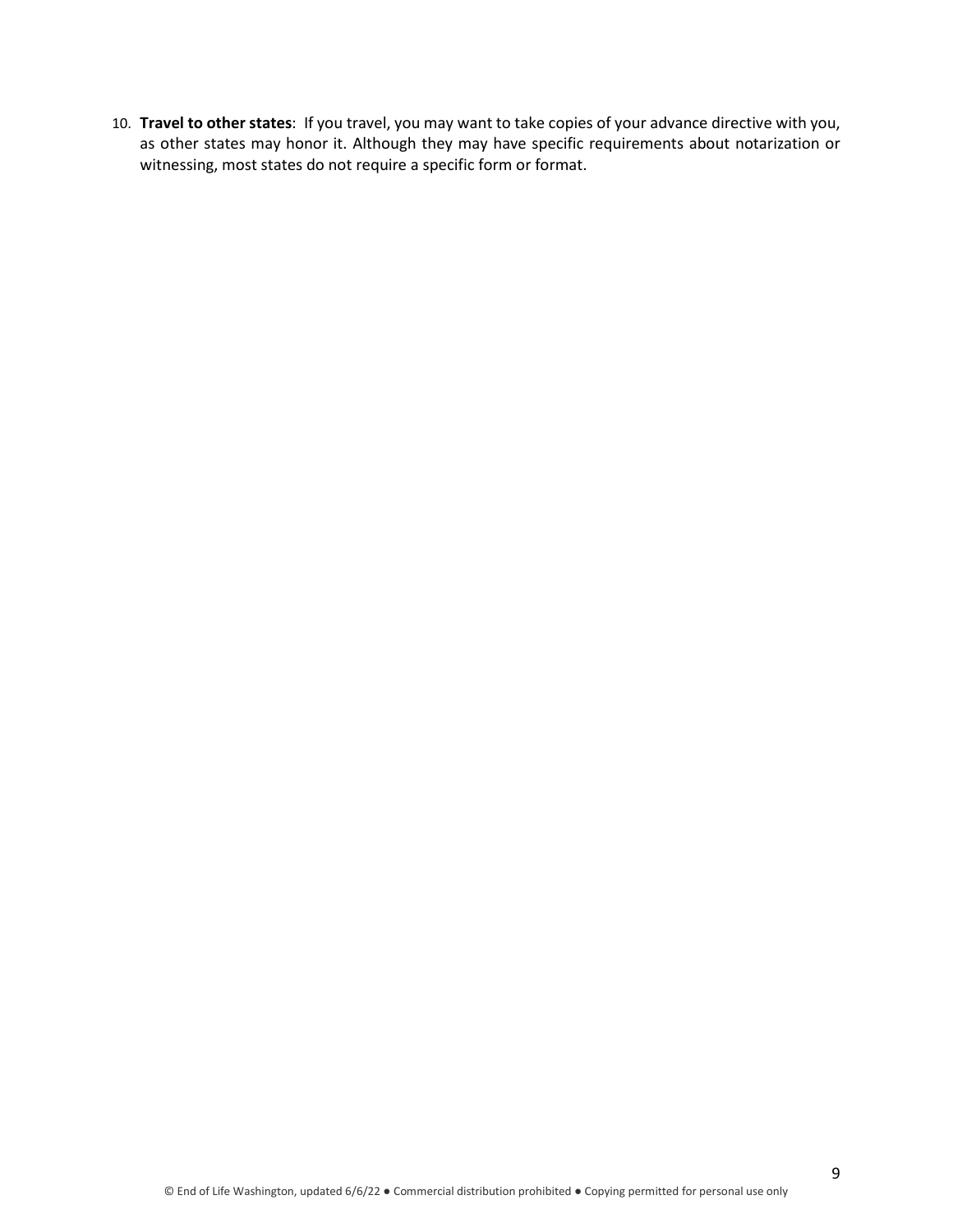10. **Travel to other states**: If you travel, you may want to take copies of your advance directive with you, as other states may honor it. Although they may have specific requirements about notarization or witnessing, most states do not require a specific form or format.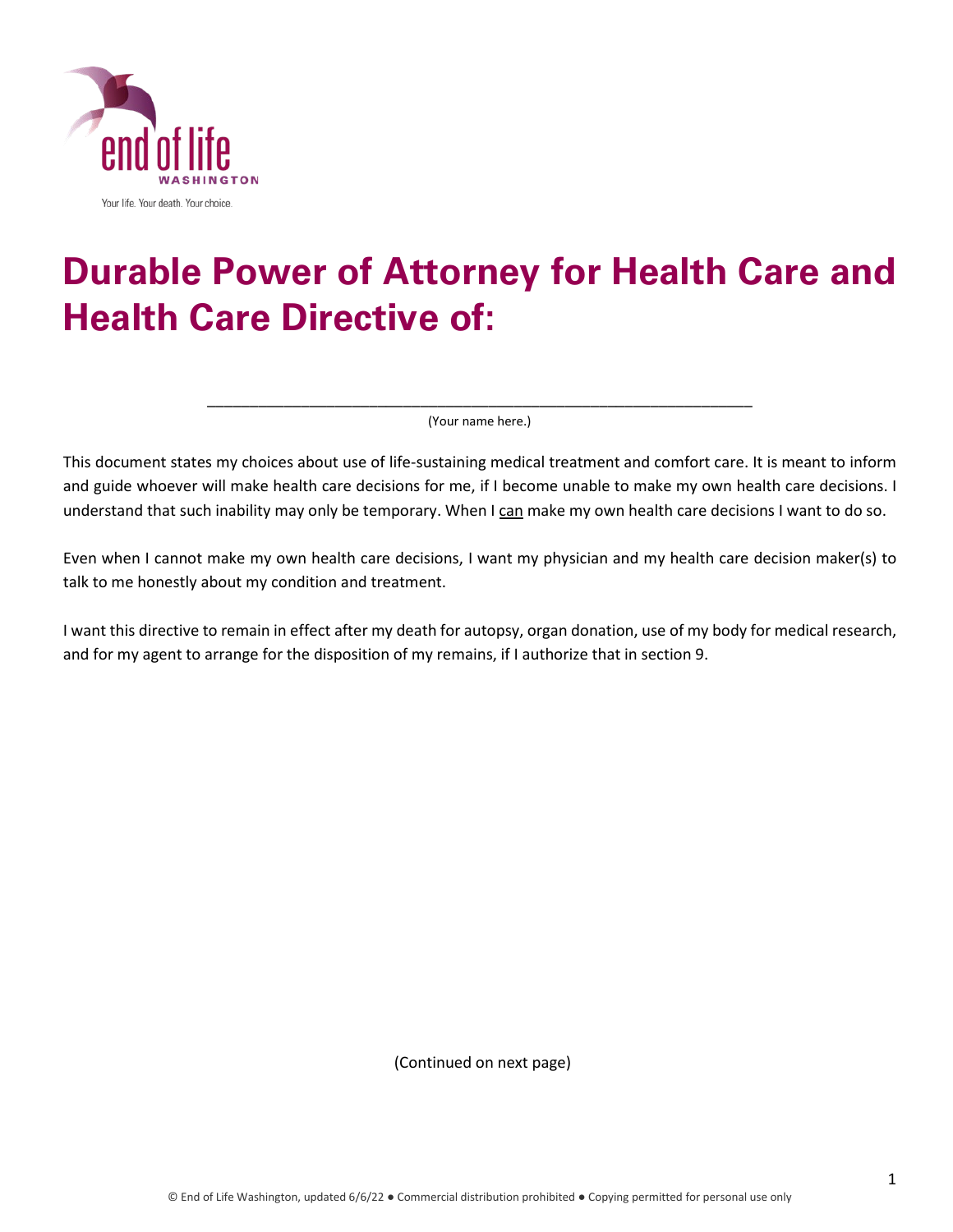

# **Durable Power of Attorney for Health Care and Health Care Directive of:**

\_\_\_\_\_\_\_\_\_\_\_\_\_\_\_\_\_\_\_\_\_\_\_\_\_\_\_\_\_\_\_\_\_\_\_\_\_\_\_\_\_\_\_\_\_\_\_\_\_\_\_\_\_\_\_\_\_\_\_\_\_\_\_\_ (Your name here.)

This document states my choices about use of life-sustaining medical treatment and comfort care. It is meant to inform and guide whoever will make health care decisions for me, if I become unable to make my own health care decisions. I understand that such inability may only be temporary. When I can make my own health care decisions I want to do so.

Even when I cannot make my own health care decisions, I want my physician and my health care decision maker(s) to talk to me honestly about my condition and treatment.

I want this directive to remain in effect after my death for autopsy, organ donation, use of my body for medical research, and for my agent to arrange for the disposition of my remains, if I authorize that in section 9.

(Continued on next page)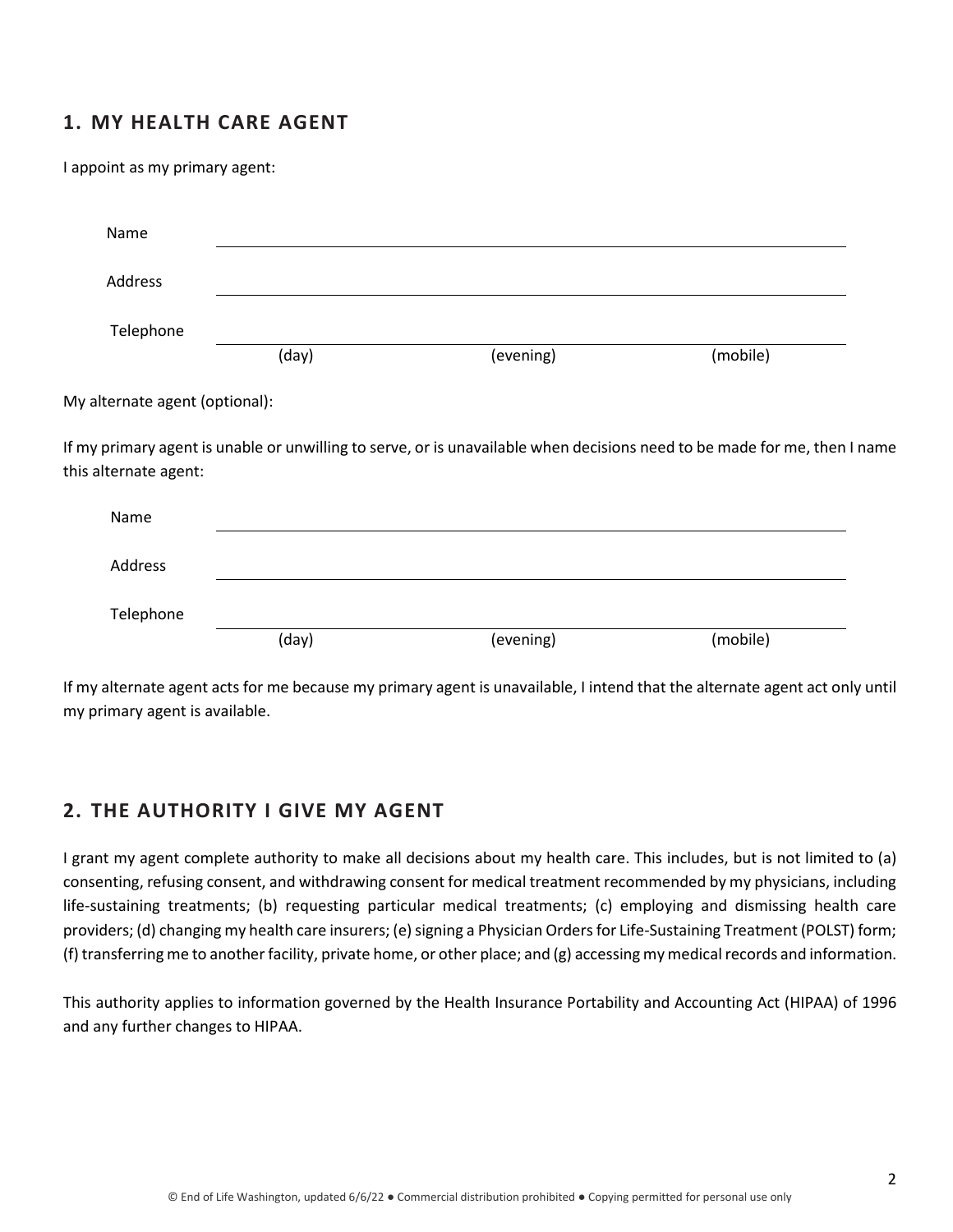#### **1. MY HEALTH CARE AGENT**

I appoint as my primary agent:

| Name                                                    |       |           |                                                                                                                           |
|---------------------------------------------------------|-------|-----------|---------------------------------------------------------------------------------------------------------------------------|
| Address                                                 |       |           |                                                                                                                           |
| Telephone                                               |       |           |                                                                                                                           |
|                                                         | (day) | (evening) | (mobile)                                                                                                                  |
| My alternate agent (optional):<br>this alternate agent: |       |           | If my primary agent is unable or unwilling to serve, or is unavailable when decisions need to be made for me, then I name |
| Name                                                    |       |           |                                                                                                                           |
| Address                                                 |       |           |                                                                                                                           |
| Telephone                                               |       |           |                                                                                                                           |
|                                                         | (day) | (evening) | (mobile)                                                                                                                  |

If my alternate agent acts for me because my primary agent is unavailable, I intend that the alternate agent act only until my primary agent is available.

#### **2. THE AUTHORITY I GIVE MY AGENT**

I grant my agent complete authority to make all decisions about my health care. This includes, but is not limited to (a) consenting, refusing consent, and withdrawing consent for medical treatment recommended by my physicians, including life-sustaining treatments; (b) requesting particular medical treatments; (c) employing and dismissing health care providers; (d) changing my health care insurers; (e) signing a Physician Orders for Life-Sustaining Treatment (POLST) form; (f) transferring me to another facility, private home, or other place; and (g) accessing my medical records and information.

This authority applies to information governed by the Health Insurance Portability and Accounting Act (HIPAA) of 1996 and any further changes to HIPAA.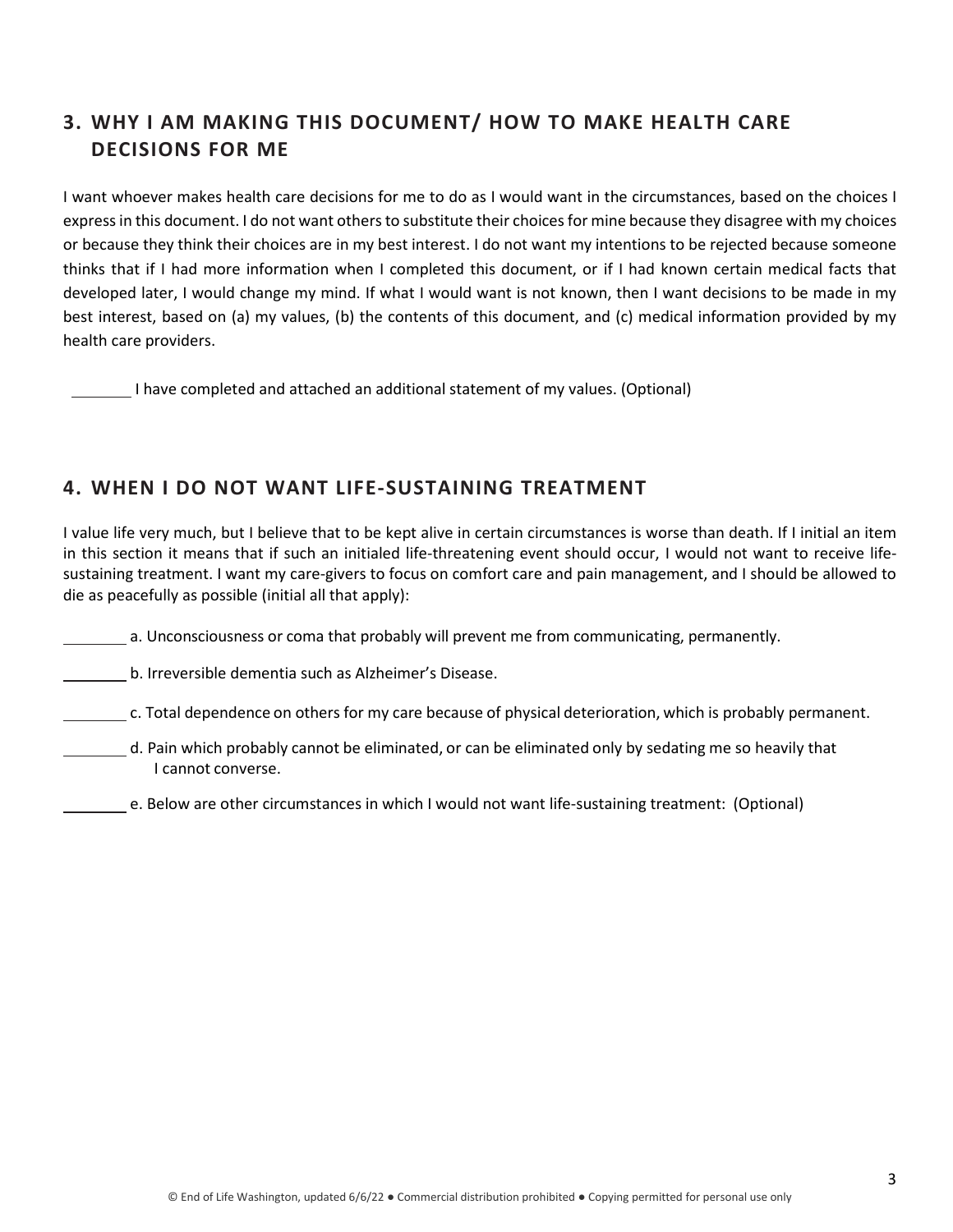## **3. WHY I AM MAKING THIS DOCUMENT/ HOW TO MAKE HEALTH CARE DECISIONS FOR ME**

I want whoever makes health care decisions for me to do as I would want in the circumstances, based on the choices I express in this document. I do not want others to substitute their choices for mine because they disagree with my choices or because they think their choices are in my best interest. I do not want my intentions to be rejected because someone thinks that if I had more information when I completed this document, or if I had known certain medical facts that developed later, I would change my mind. If what I would want is not known, then I want decisions to be made in my best interest, based on (a) my values, (b) the contents of this document, and (c) medical information provided by my health care providers.

I have completed and attached an additional statement of my values. (Optional)

#### **4. WHEN I DO NOT WANT LIFE-SUSTAINING TREATMENT**

I value life very much, but I believe that to be kept alive in certain circumstances is worse than death. If I initial an item in this section it means that if such an initialed life-threatening event should occur, I would not want to receive lifesustaining treatment. I want my care-givers to focus on comfort care and pain management, and I should be allowed to die as peacefully as possible (initial all that apply):

a. Unconsciousness or coma that probably will prevent me from communicating, permanently.

b. Irreversible dementia such as Alzheimer's Disease.

c. Total dependence on others for my care because of physical deterioration, which is probably permanent.

- d. Pain which probably cannot be eliminated, or can be eliminated only by sedating me so heavily that I cannot converse.
	- e. Below are other circumstances in which I would not want life-sustaining treatment: (Optional)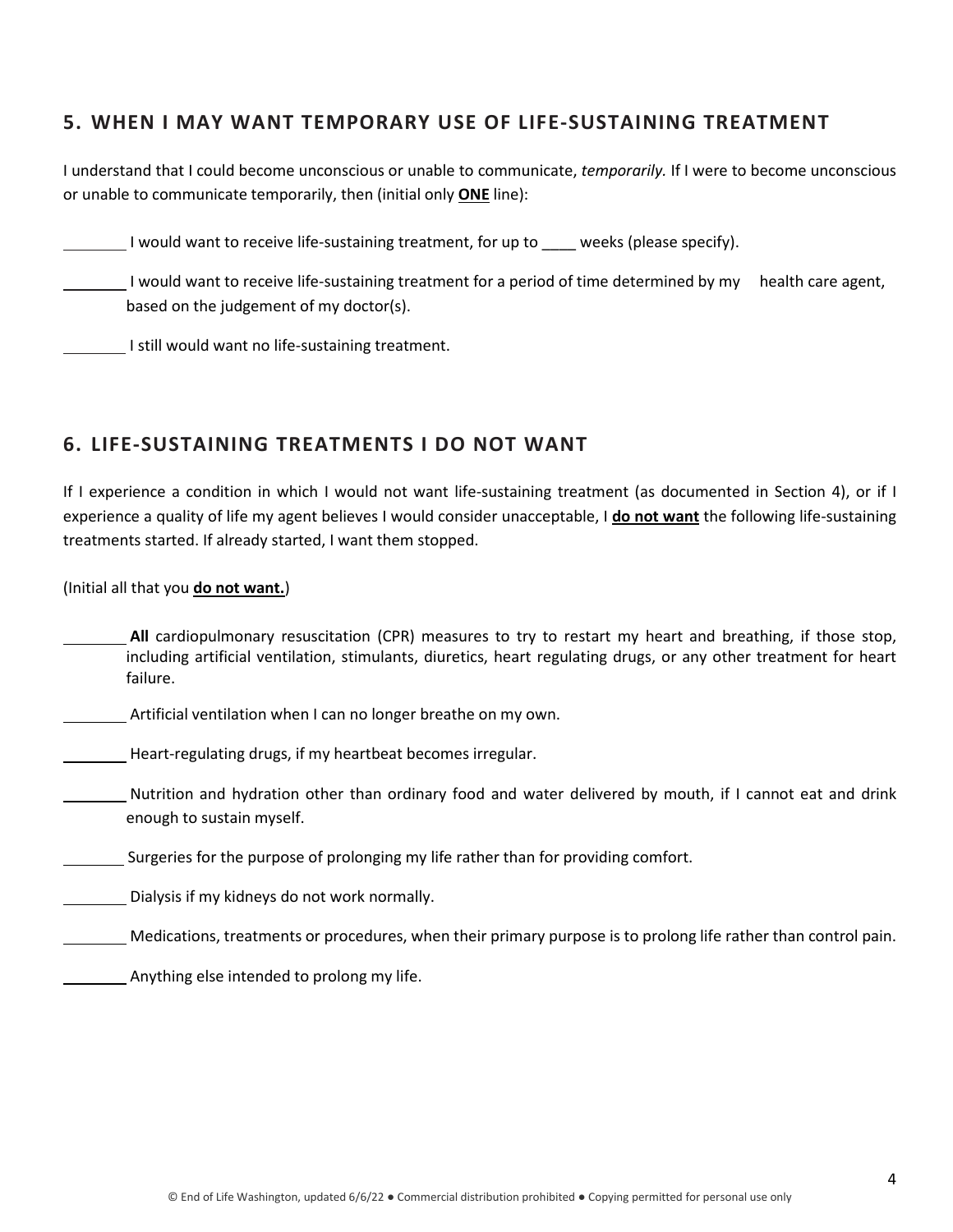#### **5. WHEN I MAY WANT TEMPORARY USE OF LIFE-SUSTAINING TREATMENT**

I understand that I could become unconscious or unable to communicate, *temporarily.* If I were to become unconscious or unable to communicate temporarily, then (initial only **ONE** line):

I would want to receive life-sustaining treatment, for up to weeks (please specify).

I would want to receive life-sustaining treatment for a period of time determined by my health care agent, based on the judgement of my doctor(s).

I still would want no life-sustaining treatment.

#### **6. LIFE-SUSTAINING TREATMENTS I DO NOT WANT**

If I experience a condition in which I would not want life-sustaining treatment (as documented in Section 4), or if I experience a quality of life my agent believes I would consider unacceptable, I **do not want** the following life-sustaining treatments started. If already started, I want them stopped.

(Initial all that you **do not want.**)

**All** cardiopulmonary resuscitation (CPR) measures to try to restart my heart and breathing, if those stop, including artificial ventilation, stimulants, diuretics, heart regulating drugs, or any other treatment for heart failure.

Artificial ventilation when I can no longer breathe on my own.

Heart-regulating drugs, if my heartbeat becomes irregular.

Nutrition and hydration other than ordinary food and water delivered by mouth, if I cannot eat and drink enough to sustain myself.

Surgeries for the purpose of prolonging my life rather than for providing comfort.

Dialysis if my kidneys do not work normally.

Medications, treatments or procedures, when their primary purpose is to prolong life rather than control pain.

Anything else intended to prolong my life.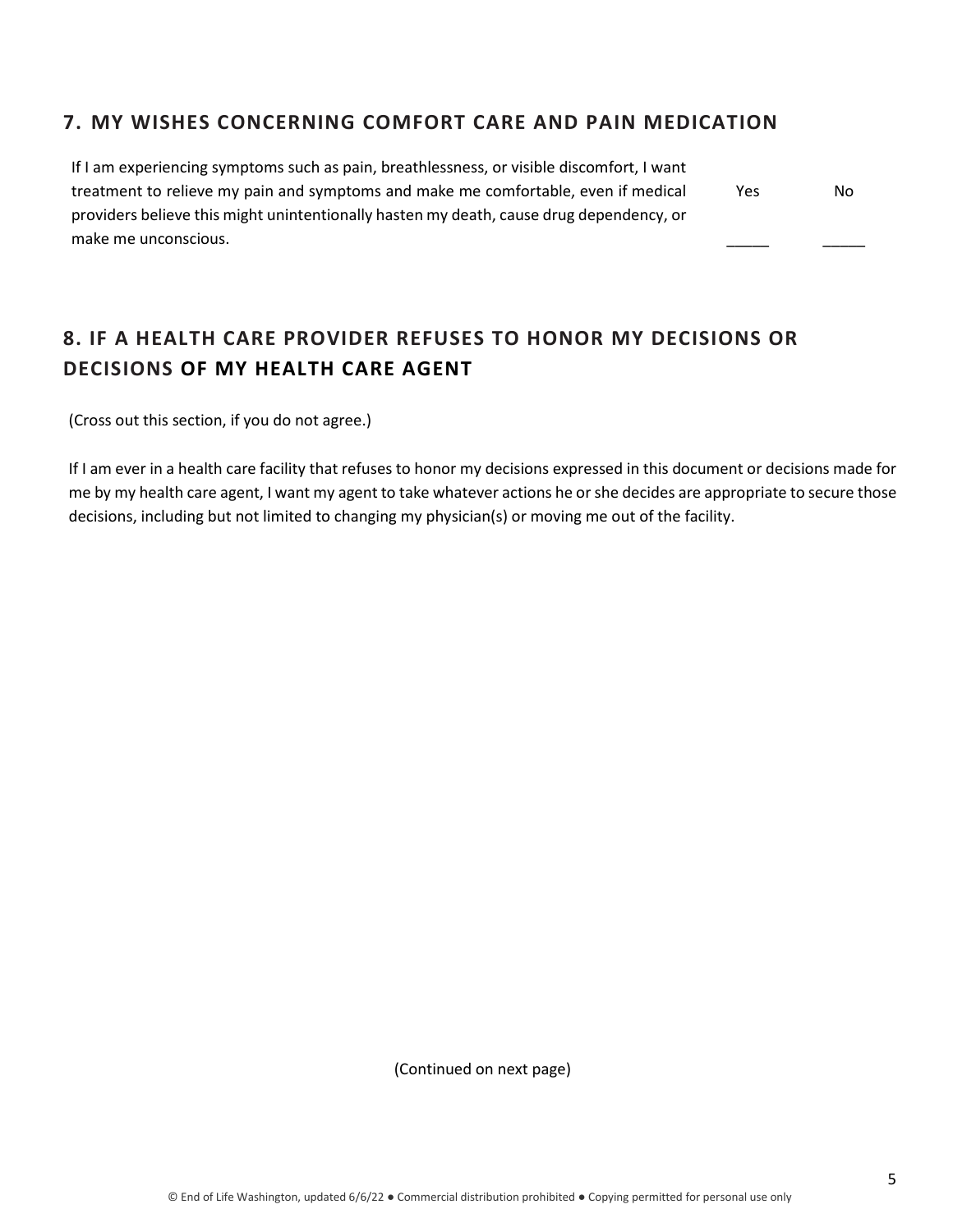#### **7. MY WISHES CONCERNING COMFORT CARE AND PAIN MEDICATION**

| If I am experiencing symptoms such as pain, breathlessness, or visible discomfort, I want |     |     |
|-------------------------------------------------------------------------------------------|-----|-----|
| treatment to relieve my pain and symptoms and make me comfortable, even if medical        | Yes | No. |
| providers believe this might unintentionally hasten my death, cause drug dependency, or   |     |     |
| make me unconscious.                                                                      |     |     |

# **8. IF A HEALTH CARE PROVIDER REFUSES TO HONOR MY DECISIONS OR DECISIONS OF MY HEALTH CARE AGENT**

(Cross out this section, if you do not agree.)

If I am ever in a health care facility that refuses to honor my decisions expressed in this document or decisions made for me by my health care agent, I want my agent to take whatever actions he or she decides are appropriate to secure those decisions, including but not limited to changing my physician(s) or moving me out of the facility.

(Continued on next page)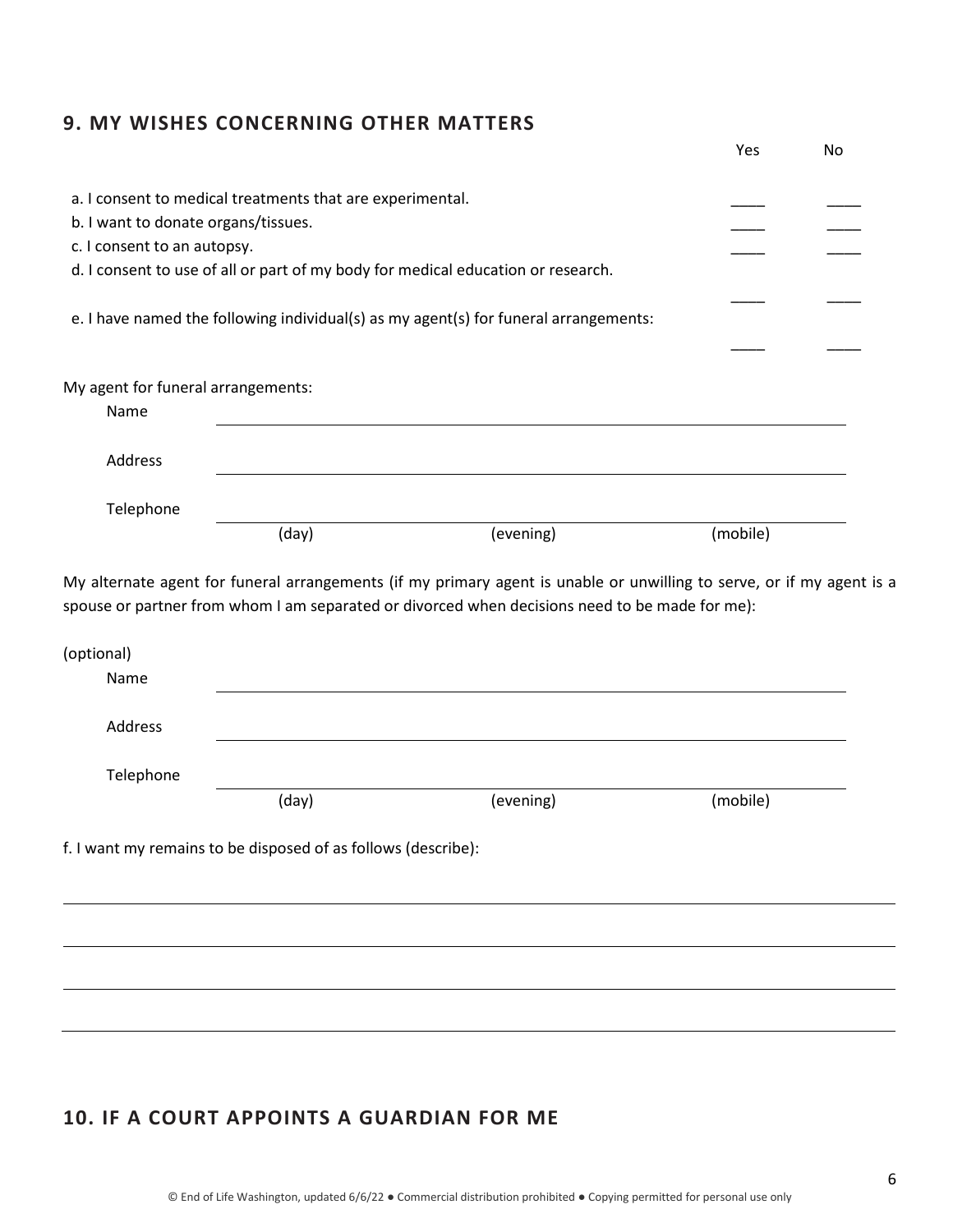### **9. MY WISHES CONCERNING OTHER MATTERS**

|                                            |                                                               |                                                                                                | Yes      | No |
|--------------------------------------------|---------------------------------------------------------------|------------------------------------------------------------------------------------------------|----------|----|
|                                            | a. I consent to medical treatments that are experimental.     |                                                                                                |          |    |
| b. I want to donate organs/tissues.        |                                                               |                                                                                                |          |    |
| c. I consent to an autopsy.                |                                                               |                                                                                                |          |    |
|                                            |                                                               | d. I consent to use of all or part of my body for medical education or research.               |          |    |
|                                            |                                                               | e. I have named the following individual(s) as my agent(s) for funeral arrangements:           |          |    |
| My agent for funeral arrangements:<br>Name |                                                               |                                                                                                |          |    |
| Address                                    |                                                               |                                                                                                |          |    |
| Telephone                                  |                                                               |                                                                                                |          |    |
|                                            | (day)                                                         | (evening)                                                                                      | (mobile) |    |
| (optional)<br>Name                         |                                                               | spouse or partner from whom I am separated or divorced when decisions need to be made for me): |          |    |
| Address                                    |                                                               |                                                                                                |          |    |
| Telephone                                  |                                                               |                                                                                                |          |    |
|                                            |                                                               |                                                                                                | (mobile) |    |
|                                            | (day)                                                         | (evening)                                                                                      |          |    |
|                                            | f. I want my remains to be disposed of as follows (describe): |                                                                                                |          |    |
|                                            |                                                               |                                                                                                |          |    |
|                                            |                                                               |                                                                                                |          |    |

# **10. IF A COURT APPOINTS A GUARDIAN FOR ME**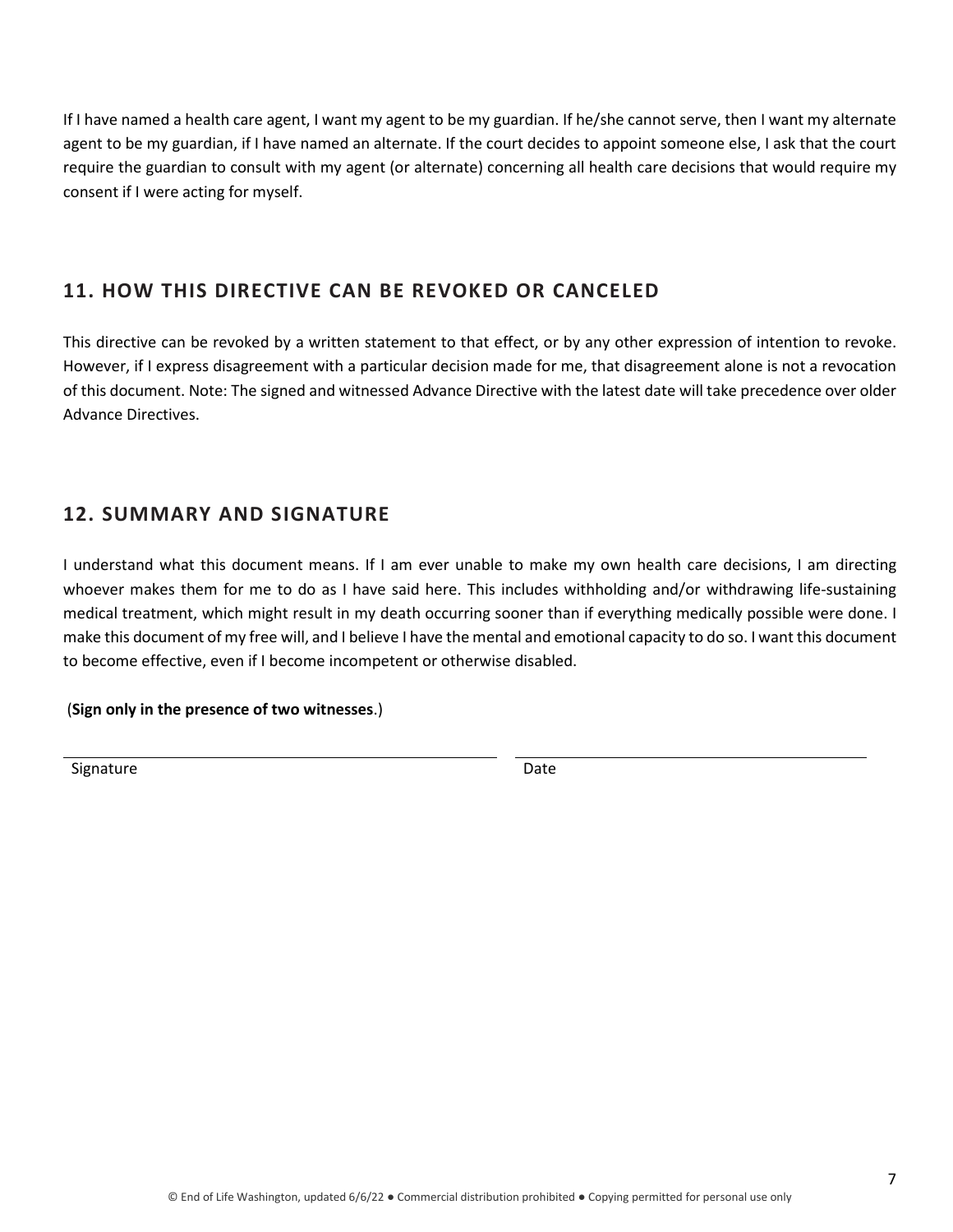If I have named a health care agent, I want my agent to be my guardian. If he/she cannot serve, then I want my alternate agent to be my guardian, if I have named an alternate. If the court decides to appoint someone else, I ask that the court require the guardian to consult with my agent (or alternate) concerning all health care decisions that would require my consent if I were acting for myself.

## **11. HOW THIS DIRECTIVE CAN BE REVOKED OR CANCELED**

This directive can be revoked by a written statement to that effect, or by any other expression of intention to revoke. However, if I express disagreement with a particular decision made for me, that disagreement alone is not a revocation of this document. Note: The signed and witnessed Advance Directive with the latest date will take precedence over older Advance Directives.

## **12. SUMMARY AND SIGNATURE**

I understand what this document means. If I am ever unable to make my own health care decisions, I am directing whoever makes them for me to do as I have said here. This includes withholding and/or withdrawing life-sustaining medical treatment, which might result in my death occurring sooner than if everything medically possible were done. I make this document of my free will, and I believe I have the mental and emotional capacity to do so. I want this document to become effective, even if I become incompetent or otherwise disabled.

#### (**Sign only in the presence of two witnesses**.)

Signature Date Date Date Date